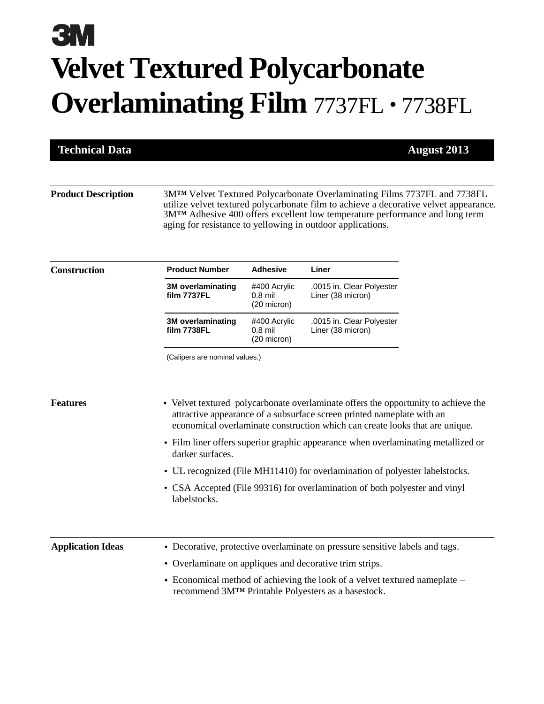# **Velvet Textured Polycarbonate Overlaminating Film** 7737FL · 7738FL

**Technical Data August 2013**

**Product Description** 3M<sup>TM</sup> Velvet Textured Polycarbonate Overlaminating Films 7737FL and 7738FL utilize velvet textured polycarbonate film to achieve a decorative velvet appearance. 3M<sup>TM</sup> Adhesive 400 offers excellent low temperature performance and long term aging for resistance to yellowing in outdoor applications.

| <b>Construction</b> | <b>Product Number</b>                   | <b>Adhesive</b>                                    | Liner                                          |
|---------------------|-----------------------------------------|----------------------------------------------------|------------------------------------------------|
|                     | <b>3M</b> overlaminating<br>film 7737FL | #400 Acrylic<br>$0.8$ mil<br>$(20 \text{ micron})$ | .0015 in. Clear Polyester<br>Liner (38 micron) |
|                     | <b>3M</b> overlaminating<br>film 7738FL | #400 Acrylic<br>$0.8$ mil<br>(20 micron)           | .0015 in. Clear Polyester<br>Liner (38 micron) |

(Calipers are nominal values.)

- **Features** Velvet textured polycarbonate overlaminate offers the opportunity to achieve the attractive appearance of a subsurface screen printed nameplate with an economical overlaminate construction which can create looks that are unique.
	- Film liner offers superior graphic appearance when overlaminating metallized or darker surfaces.
	- UL recognized (File MH11410) for overlamination of polyester labelstocks.
	- CSA Accepted (File 99316) for overlamination of both polyester and vinyl labelstocks.

| <b>Application Ideas</b> | • Decorative, protective overlaminate on pressure sensitive labels and tags.                                                     |
|--------------------------|----------------------------------------------------------------------------------------------------------------------------------|
|                          | • Overlaminate on appliques and decorative trim strips.                                                                          |
|                          | • Economical method of achieving the look of a velvet textured nameplate –<br>recommend 3M™ Printable Polyesters as a basestock. |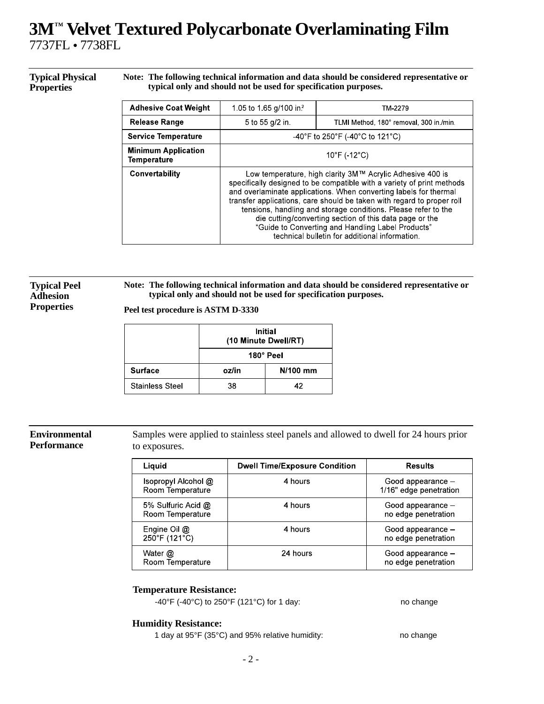# **3M Velvet Textured Polycarbonate Overlaminating Film** 7737FL • 7738FL

#### **Typical Physical Properties**

**Note: The following technical information and data should be considered representative or typical only and should not be used for specification purposes.**

| <b>Adhesive Coat Weight</b>               | 1.05 to 1.65 g/100 in <sup>2</sup>                                                                                                                                                                                                                                                                                                                                                                                                                                                                                     | TM-2279                                 |  |
|-------------------------------------------|------------------------------------------------------------------------------------------------------------------------------------------------------------------------------------------------------------------------------------------------------------------------------------------------------------------------------------------------------------------------------------------------------------------------------------------------------------------------------------------------------------------------|-----------------------------------------|--|
| Release Range                             | 5 to 55 g/2 in                                                                                                                                                                                                                                                                                                                                                                                                                                                                                                         | TLMI Method, 180° removal, 300 in /min. |  |
| <b>Service Temperature</b>                | -40°F to 250°F (-40°C to 121°C)                                                                                                                                                                                                                                                                                                                                                                                                                                                                                        |                                         |  |
| <b>Minimum Application</b><br>Temperature | $10^{\circ}$ F (-12 $^{\circ}$ C)                                                                                                                                                                                                                                                                                                                                                                                                                                                                                      |                                         |  |
| Convertability                            | Low temperature, high clarity 3M™ Acrylic Adhesive 400 is<br>specifically designed to be compatible with a variety of print methods<br>and overlaminate applications. When converting labels for thermal<br>transfer applications, care should be taken with regard to proper roll<br>tensions, handling and storage conditions. Please refer to the<br>die cutting/converting section of this data page or the<br>"Guide to Converting and Handling Label Products"<br>technical bulletin for additional information. |                                         |  |

#### **Typical Peel Adhesion Properties**

**Note: The following technical information and data should be considered representative or typical only and should not be used for specification purposes.**

**Peel test procedure is ASTM D-3330**

|                        |           | <b>Initial</b><br>(10 Minute Dwell/RT) |  |
|------------------------|-----------|----------------------------------------|--|
|                        | 180° Peel |                                        |  |
| <b>Surface</b>         | oz/in     | N/100 mm                               |  |
| <b>Stainless Steel</b> | 38        | 42                                     |  |

### **Environmental Performance**

Samples were applied to stainless steel panels and allowed to dwell for 24 hours prior to exposures.

| Liquid                                  | <b>Dwell Time/Exposure Condition</b> | <b>Results</b>                              |
|-----------------------------------------|--------------------------------------|---------------------------------------------|
| Isopropyl Alcohol @<br>Room Temperature | 4 hours                              | Good appearance -<br>1/16" edge penetration |
| 5% Sulfuric Acid @<br>Room Temperature  | 4 hours                              | Good appearance -<br>no edge penetration    |
| Engine Oil $@$<br>250°F (121°C)         | 4 hours                              | Good appearance -<br>no edge penetration    |
| Water @<br>Room Temperature             | 24 hours                             | Good appearance -<br>no edge penetration    |

## **Temperature Resistance:**

 $-40^{\circ}$ F ( $-40^{\circ}$ C) to 250 $^{\circ}$ F (121 $^{\circ}$ C) for 1 day: no change

## **Humidity Resistance:**

1 day at 95°F (35°C) and 95% relative humidity: no change

- 2 -